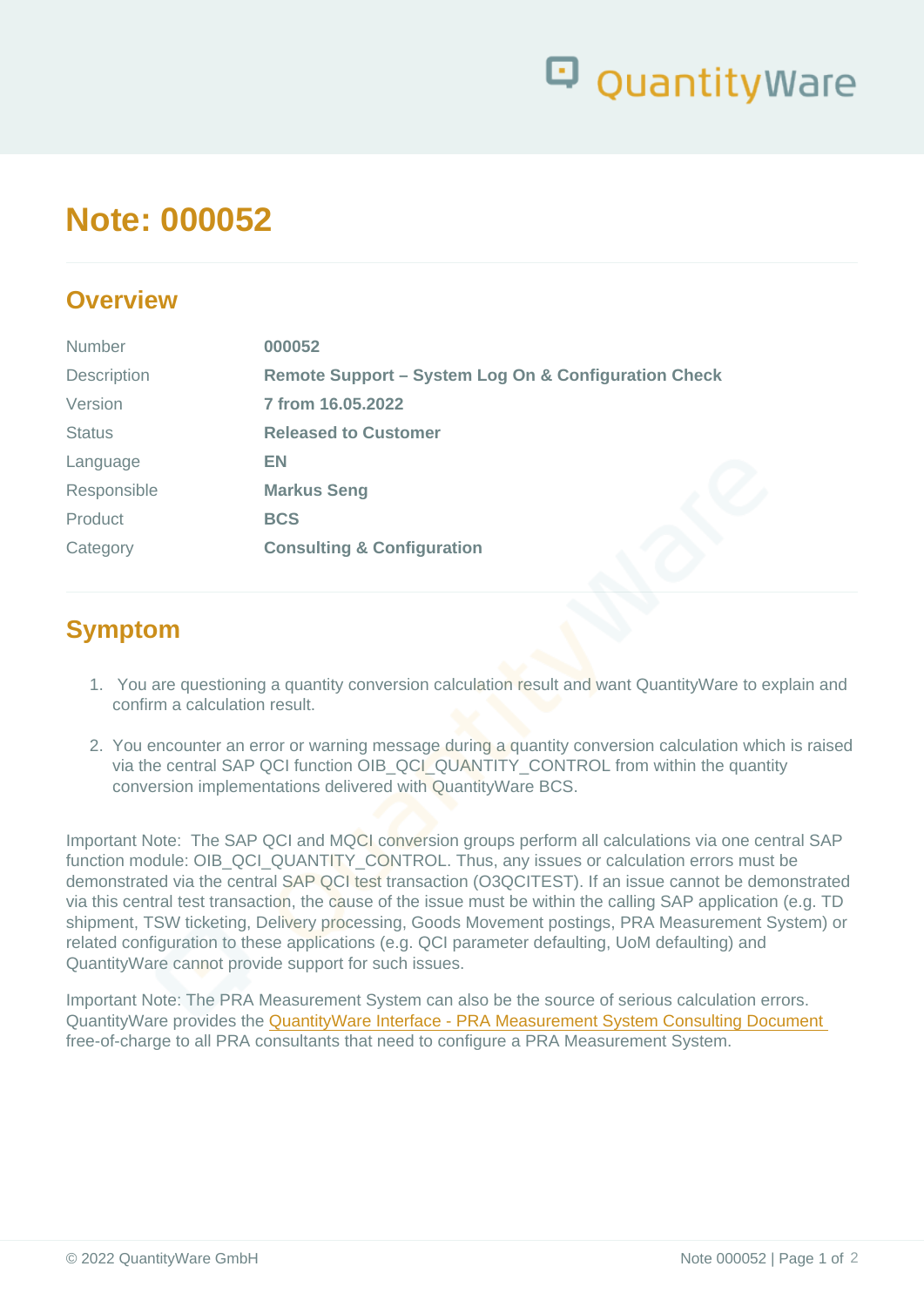# Note: 000052

### **Overview**

| <b>Number</b> | 000052                                               |  |  |
|---------------|------------------------------------------------------|--|--|
| Description   | Remote Support - System Log On & Configuration Check |  |  |
| Version       | 7 from 16.05.2022                                    |  |  |
| <b>Status</b> | <b>Released to Customer</b>                          |  |  |
| Language      | EN                                                   |  |  |
| Responsible   | Markus Seng                                          |  |  |
| Product       | <b>BCS</b>                                           |  |  |
| Category      | Consulting & Configuration                           |  |  |
|               |                                                      |  |  |

## Symptom

- 1. You are questioning a quantity conversion calculation result and want QuantityWare to explain and confirm a calculation result.
- 2. You encounter an error or warning message during a quantity conversion calculation which is raised via the central SAP QCI function OIB\_QCI\_QUANTITY\_CONTROL from within the quantity conversion implementations delivered with QuantityWare BCS.

Important Note: The SAP QCI and MQCI conversion groups perform all calculations via one central SAP function module: OIB\_QCI\_QUANTITY\_CONTROL. Thus, any issues or calculation errors must be demonstrated via the central SAP QCI test transaction (O3QCITEST). If an issue cannot be demonstrated via this central test transaction, the cause of the issue must be within the calling SAP application (e.g. TD shipment, TSW ticketing, Delivery processing, Goods Movement postings, PRA Measurement System) or related configuration to these applications (e.g. QCI parameter defaulting, UoM defaulting) and QuantityWare cannot provide support for such issues.

Important Note: The PRA Measurement System can also be the source of serious calculation errors. QuantityWare provides the [QuantityWare Interface - PRA Measurement System Consulting Document](https://www.quantityware.com/wp-content/uploads/WP_QuantityWare_PRA_Measurement_System_Integration.pdf)  free-of-charge to all PRA consultants that need to configure a PRA Measurement System.